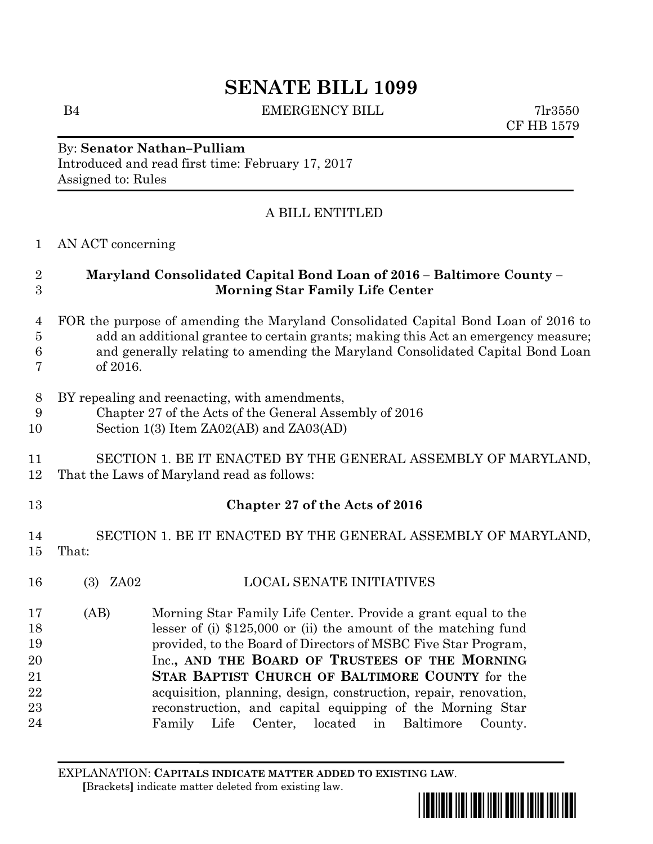# **SENATE BILL 1099**

B4 EMERGENCY BILL 7lr3550

CF HB 1579

#### By: **Senator Nathan–Pulliam** Introduced and read first time: February 17, 2017 Assigned to: Rules

## A BILL ENTITLED

#### 1 AN ACT concerning

#### 2 **Maryland Consolidated Capital Bond Loan of 2016 – Baltimore County –** 3 **Morning Star Family Life Center**

#### 4 FOR the purpose of amending the Maryland Consolidated Capital Bond Loan of 2016 to 5 add an additional grantee to certain grants; making this Act an emergency measure; 6 and generally relating to amending the Maryland Consolidated Capital Bond Loan 7 of 2016.

- 8 BY repealing and reenacting, with amendments,
- 9 Chapter 27 of the Acts of the General Assembly of 2016
- 10 Section 1(3) Item ZA02(AB) and ZA03(AD)

## 11 SECTION 1. BE IT ENACTED BY THE GENERAL ASSEMBLY OF MARYLAND, 12 That the Laws of Maryland read as follows:

## 13 **Chapter 27 of the Acts of 2016**

### 14 SECTION 1. BE IT ENACTED BY THE GENERAL ASSEMBLY OF MARYLAND, 15 That:

- 16 (3) ZA02 LOCAL SENATE INITIATIVES
- 17 18 19 20 21 22 23 24 (AB) Morning Star Family Life Center. Provide a grant equal to the lesser of (i) \$125,000 or (ii) the amount of the matching fund provided, to the Board of Directors of MSBC Five Star Program, Inc.**, AND THE BOARD OF TRUSTEES OF THE MORNING STAR BAPTIST CHURCH OF BALTIMORE COUNTY** for the acquisition, planning, design, construction, repair, renovation, reconstruction, and capital equipping of the Morning Star Family Life Center, located in Baltimore County.

EXPLANATION: **CAPITALS INDICATE MATTER ADDED TO EXISTING LAW**.  **[**Brackets**]** indicate matter deleted from existing law.